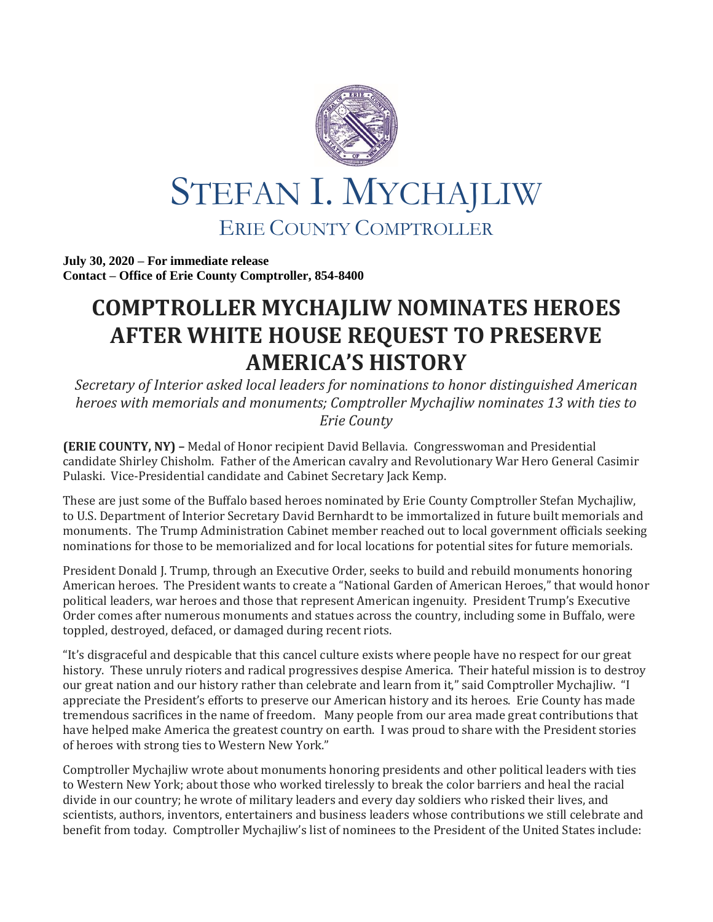

**July 30, 2020 – For immediate release Contact – Office of Erie County Comptroller, 854-8400**

## **COMPTROLLER MYCHAJLIW NOMINATES HEROES AFTER WHITE HOUSE REQUEST TO PRESERVE AMERICA'S HISTORY**

*Secretary of Interior asked local leaders for nominations to honor distinguished American heroes with memorials and monuments; Comptroller Mychajliw nominates 13 with ties to Erie County*

**(ERIE COUNTY, NY) –** Medal of Honor recipient David Bellavia. Congresswoman and Presidential candidate Shirley Chisholm. Father of the American cavalry and Revolutionary War Hero General Casimir Pulaski. Vice-Presidential candidate and Cabinet Secretary Jack Kemp.

These are just some of the Buffalo based heroes nominated by Erie County Comptroller Stefan Mychajliw, to U.S. Department of Interior Secretary David Bernhardt to be immortalized in future built memorials and monuments. The Trump Administration Cabinet member reached out to local government officials seeking nominations for those to be memorialized and for local locations for potential sites for future memorials.

President Donald J. Trump, through an Executive Order, seeks to build and rebuild monuments honoring American heroes. The President wants to create a "National Garden of American Heroes," that would honor political leaders, war heroes and those that represent American ingenuity. President Trump's Executive Order comes after numerous monuments and statues across the country, including some in Buffalo, were toppled, destroyed, defaced, or damaged during recent riots.

"It's disgraceful and despicable that this cancel culture exists where people have no respect for our great history. These unruly rioters and radical progressives despise America. Their hateful mission is to destroy our great nation and our history rather than celebrate and learn from it," said Comptroller Mychajliw. "I appreciate the President's efforts to preserve our American history and its heroes. Erie County has made tremendous sacrifices in the name of freedom. Many people from our area made great contributions that have helped make America the greatest country on earth. I was proud to share with the President stories of heroes with strong ties to Western New York."

Comptroller Mychajliw wrote about monuments honoring presidents and other political leaders with ties to Western New York; about those who worked tirelessly to break the color barriers and heal the racial divide in our country; he wrote of military leaders and every day soldiers who risked their lives, and scientists, authors, inventors, entertainers and business leaders whose contributions we still celebrate and benefit from today. Comptroller Mychajliw's list of nominees to the President of the United States include: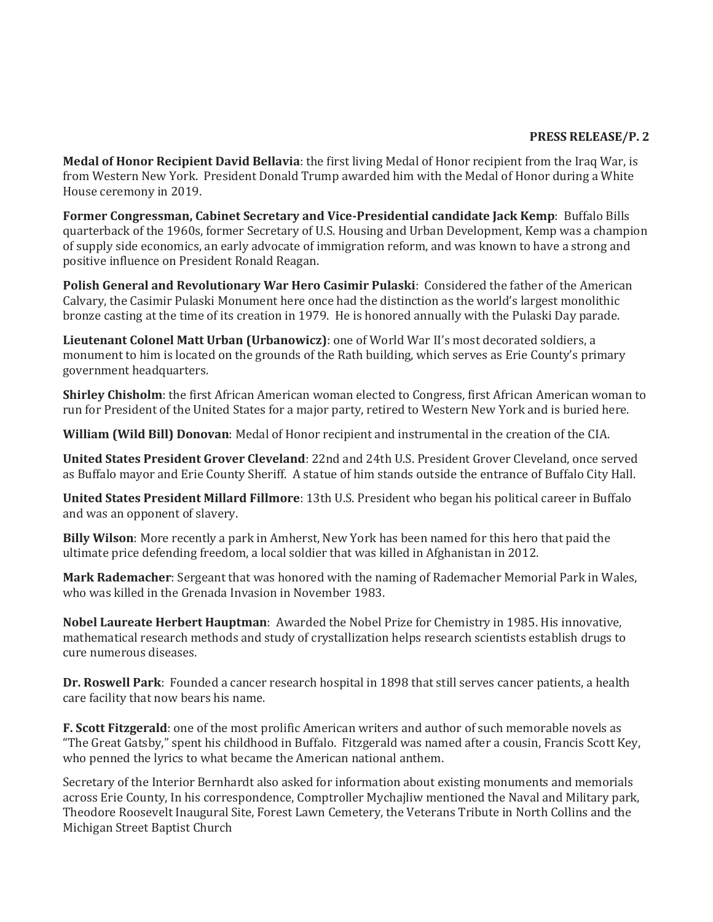## **PRESS RELEASE/P. 2**

**Medal of Honor Recipient David Bellavia**: the first living Medal of Honor recipient from the Iraq War, is from Western New York. President Donald Trump awarded him with the Medal of Honor during a White House ceremony in 2019.

**Former Congressman, Cabinet Secretary and Vice-Presidential candidate Jack Kemp**: Buffalo Bills quarterback of the 1960s, former Secretary of U.S. Housing and Urban Development, Kemp was a champion of supply side economics, an early advocate of immigration reform, and was known to have a strong and positive influence on President Ronald Reagan.

**Polish General and Revolutionary War Hero Casimir Pulaski**: Considered the father of the American Calvary, the Casimir Pulaski Monument here once had the distinction as the world's largest monolithic bronze casting at the time of its creation in 1979. He is honored annually with the Pulaski Day parade.

**Lieutenant Colonel Matt Urban (Urbanowicz)**: one of World War II's most decorated soldiers, a monument to him is located on the grounds of the Rath building, which serves as Erie County's primary government headquarters.

**Shirley Chisholm**: the first African American woman elected to Congress, first African American woman to run for President of the United States for a major party, retired to Western New York and is buried here.

**William (Wild Bill) Donovan**: Medal of Honor recipient and instrumental in the creation of the CIA.

**United States President Grover Cleveland**: 22nd and 24th U.S. President Grover Cleveland, once served as Buffalo mayor and Erie County Sheriff. A statue of him stands outside the entrance of Buffalo City Hall.

**United States President Millard Fillmore**: 13th U.S. President who began his political career in Buffalo and was an opponent of slavery.

**Billy Wilson**: More recently a park in Amherst, New York has been named for this hero that paid the ultimate price defending freedom, a local soldier that was killed in Afghanistan in 2012.

**Mark Rademacher**: Sergeant that was honored with the naming of Rademacher Memorial Park in Wales, who was killed in the Grenada Invasion in November 1983.

**Nobel Laureate Herbert Hauptman**: Awarded the Nobel Prize for Chemistry in 1985. His innovative, mathematical research methods and study of crystallization helps research scientists establish drugs to cure numerous diseases.

**Dr. Roswell Park**: Founded a cancer research hospital in 1898 that still serves cancer patients, a health care facility that now bears his name.

**F. Scott Fitzgerald**: one of the most prolific American writers and author of such memorable novels as "The Great Gatsby," spent his childhood in Buffalo. Fitzgerald was named after a cousin, Francis Scott Key, who penned the lyrics to what became the American national anthem.

Secretary of the Interior Bernhardt also asked for information about existing monuments and memorials across Erie County, In his correspondence, Comptroller Mychajliw mentioned the Naval and Military park, Theodore Roosevelt Inaugural Site, Forest Lawn Cemetery, the Veterans Tribute in North Collins and the Michigan Street Baptist Church